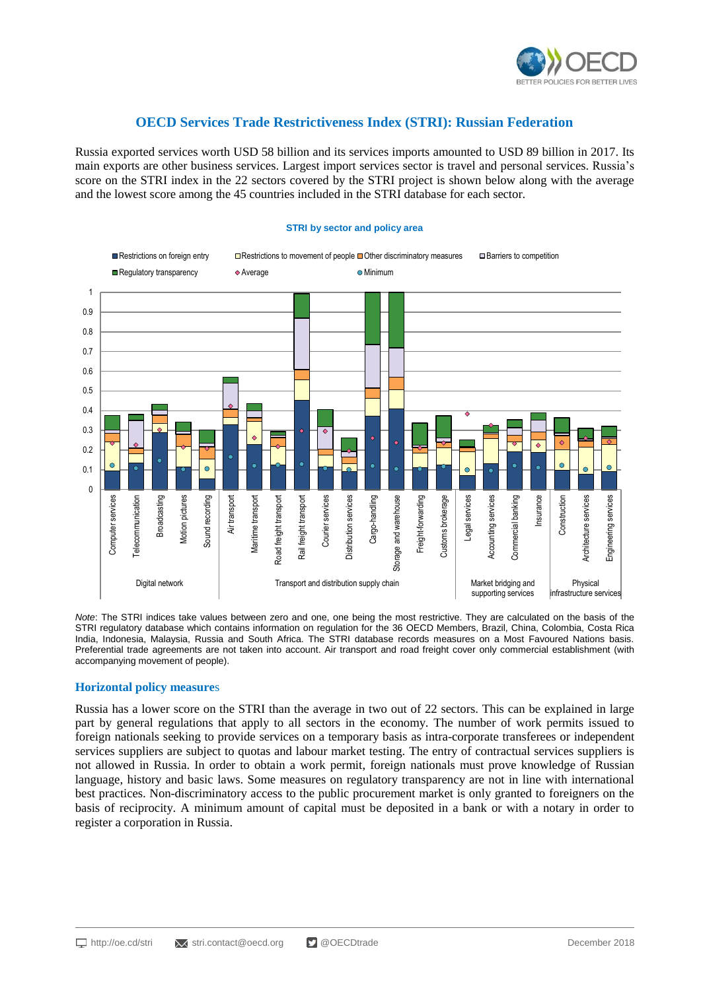

# **OECD Services Trade Restrictiveness Index (STRI): Russian Federation**

Russia exported services worth USD 58 billion and its services imports amounted to USD 89 billion in 2017. Its main exports are other business services. Largest import services sector is travel and personal services. Russia's score on the STRI index in the 22 sectors covered by the STRI project is shown below along with the average and the lowest score among the 45 countries included in the STRI database for each sector.



#### **STRI by sector and policy area**

*Note*: The STRI indices take values between zero and one, one being the most restrictive. They are calculated on the basis of the STRI regulatory database which contains information on regulation for the 36 OECD Members, Brazil, China, Colombia, Costa Rica India, Indonesia, Malaysia, Russia and South Africa. The STRI database records measures on a Most Favoured Nations basis. Preferential trade agreements are not taken into account. Air transport and road freight cover only commercial establishment (with accompanying movement of people).

### **Horizontal policy measure**s

Russia has a lower score on the STRI than the average in two out of 22 sectors. This can be explained in large part by general regulations that apply to all sectors in the economy. The number of work permits issued to foreign nationals seeking to provide services on a temporary basis as intra-corporate transferees or independent services suppliers are subject to quotas and labour market testing. The entry of contractual services suppliers is not allowed in Russia. In order to obtain a work permit, foreign nationals must prove knowledge of Russian language, history and basic laws. Some measures on regulatory transparency are not in line with international best practices. Non-discriminatory access to the public procurement market is only granted to foreigners on the basis of reciprocity. A minimum amount of capital must be deposited in a bank or with a notary in order to register a corporation in Russia.